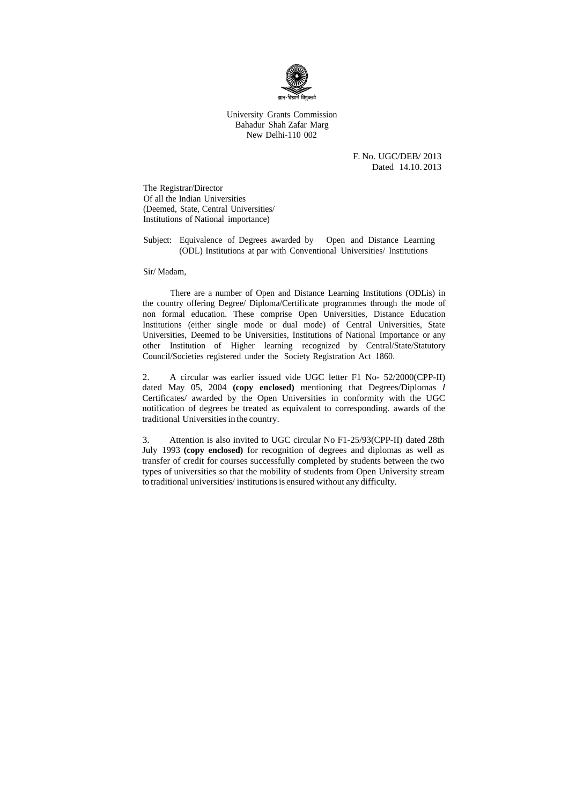

University Grants Commission Bahadur Shah Zafar Marg New Delhi-110 002

> F. No. UGC/DEB/ 2013 Dated 14.10. 2013

The Registrar/Director Of all the Indian Universities (Deemed, State, Central Universities/ Institutions of National importance)

Subject: Equivalence of Degrees awarded by Open and Distance Learning (ODL) Institutions at par with Conventional Universities/ Institutions

Sir/ Madam,

There are a number of Open and Distance Learning Institutions (ODLis) in the country offering Degree/ Diploma/Certificate programmes through the mode of non formal education. These comprise Open Universities, Distance Education Institutions (either single mode or dual mode) of Central Universities, State Universities, Deemed to be Universities, Institutions of National Importance or any other Institution of Higher learning recognized by Central/State/Statutory Council/Societies registered under the Society Registration Act 1860.

2. A circular was earlier issued vide UGC letter F1 No- 52/2000(CPP-II) dated May 05, 2004 **(copy enclosed)** mentioning that Degrees/Diplomas *I* Certificates/ awarded by the Open Universities in conformity with the UGC notification of degrees be treated as equivalent to corresponding. awards of the traditional Universities in the country.

3. Attention is also invited to UGC circular No F1-25/93(CPP-II) dated 28th July 1993 **(copy enclosed)** for recognition of degrees and diplomas as well as transfer of credit for courses successfully completed by students between the two types of universities so that the mobility of students from Open University stream to traditional universities/ institutions is ensured without any difficulty.